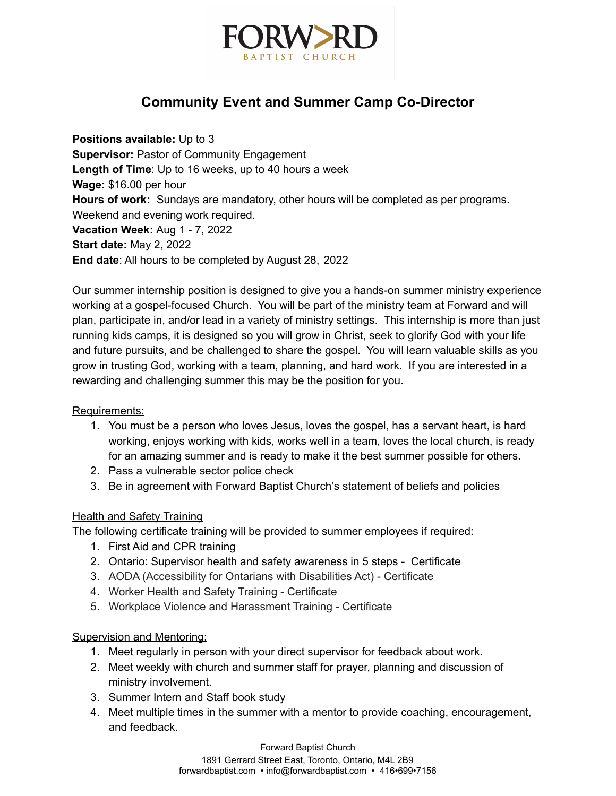

# **Community Event and Summer Camp Co-Director**

**Positions available:** Up to 3 **Supervisor:** Pastor of Community Engagement **Length of Time**: Up to 16 weeks, up to 40 hours a week **Wage:** \$16.00 per hour **Hours of work:** Sundays are mandatory, other hours will be completed as per programs. Weekend and evening work required. **Vacation Week:** Aug 1 - 7, 2022 **Start date:** May 2, 2022 **End date**: All hours to be completed by August 28, 2022

Our summer internship position is designed to give you a hands-on summer ministry experience working at a gospel-focused Church. You will be part of the ministry team at Forward and will plan, participate in, and/or lead in a variety of ministry settings. This internship is more than just running kids camps, it is designed so you will grow in Christ, seek to glorify God with your life and future pursuits, and be challenged to share the gospel. You will learn valuable skills as you grow in trusting God, working with a team, planning, and hard work. If you are interested in a rewarding and challenging summer this may be the position for you.

## Requirements:

- 1. You must be a person who loves Jesus, loves the gospel, has a servant heart, is hard working, enjoys working with kids, works well in a team, loves the local church, is ready for an amazing summer and is ready to make it the best summer possible for others.
- 2. Pass a vulnerable sector police check
- 3. Be in agreement with Forward Baptist Church's statement of beliefs and policies

## Health and Safety Training

The following certificate training will be provided to summer employees if required:

- 1. First Aid and CPR training
- 2. Ontario: Supervisor health and safety awareness in 5 steps Certificate
- 3. AODA (Accessibility for Ontarians with Disabilities Act) Certificate
- 4. Worker Health and Safety Training Certificate
- 5. Workplace Violence and Harassment Training Certificate

## Supervision and Mentoring:

- 1. Meet regularly in person with your direct supervisor for feedback about work.
- 2. Meet weekly with church and summer staff for prayer, planning and discussion of ministry involvement.
- 3. Summer Intern and Staff book study
- 4. Meet multiple times in the summer with a mentor to provide coaching, encouragement, and feedback.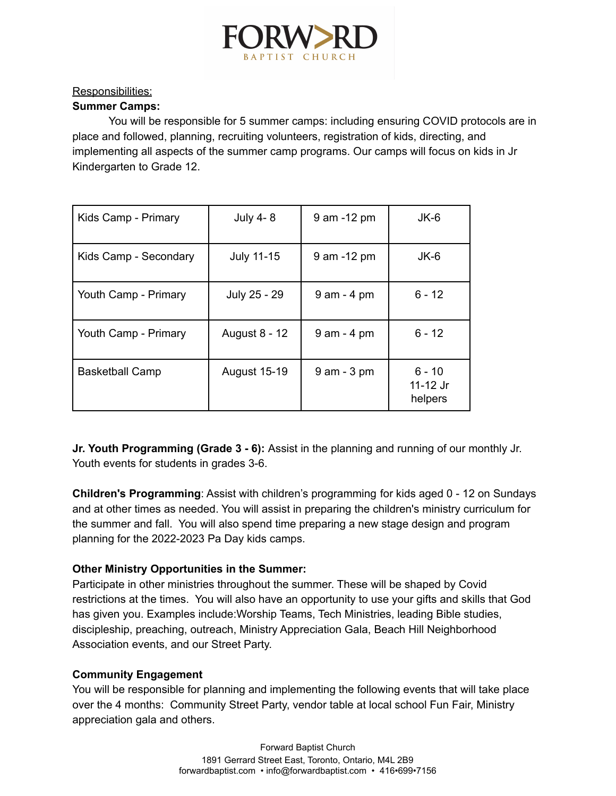

# Responsibilities:

## **Summer Camps:**

You will be responsible for 5 summer camps: including ensuring COVID protocols are in place and followed, planning, recruiting volunteers, registration of kids, directing, and implementing all aspects of the summer camp programs. Our camps will focus on kids in Jr Kindergarten to Grade 12.

| Kids Camp - Primary    | July 4-8            | 9 am -12 pm    | JK-6                            |
|------------------------|---------------------|----------------|---------------------------------|
| Kids Camp - Secondary  | <b>July 11-15</b>   | 9 am -12 pm    | JK-6                            |
| Youth Camp - Primary   | July 25 - 29        | $9$ am - 4 pm  | $6 - 12$                        |
| Youth Camp - Primary   | August 8 - 12       | $9$ am - 4 pm  | $6 - 12$                        |
| <b>Basketball Camp</b> | <b>August 15-19</b> | $9$ am $-3$ pm | $6 - 10$<br>11-12 Jr<br>helpers |

**Jr. Youth Programming (Grade 3 - 6):** Assist in the planning and running of our monthly Jr. Youth events for students in grades 3-6.

**Children's Programming**: Assist with children's programming for kids aged 0 - 12 on Sundays and at other times as needed. You will assist in preparing the children's ministry curriculum for the summer and fall. You will also spend time preparing a new stage design and program planning for the 2022-2023 Pa Day kids camps.

# **Other Ministry Opportunities in the Summer:**

Participate in other ministries throughout the summer. These will be shaped by Covid restrictions at the times. You will also have an opportunity to use your gifts and skills that God has given you. Examples include:Worship Teams, Tech Ministries, leading Bible studies, discipleship, preaching, outreach, Ministry Appreciation Gala, Beach Hill Neighborhood Association events, and our Street Party.

## **Community Engagement**

You will be responsible for planning and implementing the following events that will take place over the 4 months: Community Street Party, vendor table at local school Fun Fair, Ministry appreciation gala and others.